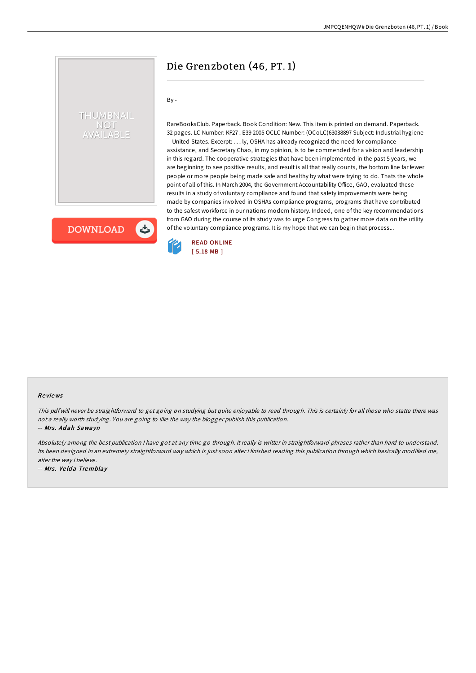# Die Grenzboten (46, PT. 1)

## By -

THUMBNAIL **NOT /AILABLE** 

**DOWNLOAD** 

しょ

RareBooksClub. Paperback. Book Condition: New. This item is printed on demand. Paperback. 32 pages. LC Number: KF27 . E39 2005 OCLC Number: (OCoLC)63038897 Subject: Industrial hygiene -- United States. Excerpt: . . . ly, OSHA has already recognized the need for compliance assistance, and Secretary Chao, in my opinion, is to be commended for a vision and leadership in this regard. The cooperative strategies that have been implemented in the past 5 years, we are beginning to see positive results, and result is all that really counts, the bottom line far fewer people or more people being made safe and healthy by what were trying to do. Thats the whole point of all of this. In March 2004, the Government Accountability Office, GAO, evaluated these results in a study of voluntary compliance and found that safety improvements were being made by companies involved in OSHAs compliance programs, programs that have contributed to the safest workforce in our nations modern history. Indeed, one of the key recommendations from GAO during the course of its study was to urge Congress to gather more data on the utility of the voluntary compliance programs. It is my hope that we can begin that process...



#### Re views

This pdf will never be straightforward to get going on studying but quite enjoyable to read through. This is certainly for all those who statte there was not <sup>a</sup> really worth studying. You are going to like the way the blogger publish this publication.

-- Mrs. Adah Sawayn

Absolutely among the best publication <sup>I</sup> have got at any time go through. It really is writter in straightforward phrases rather than hard to understand. Its been designed in an extremely straightforward way which is just soon after i finished reading this publication through which basically modified me, alter the way i believe.

-- Mrs. Velda Tremblay